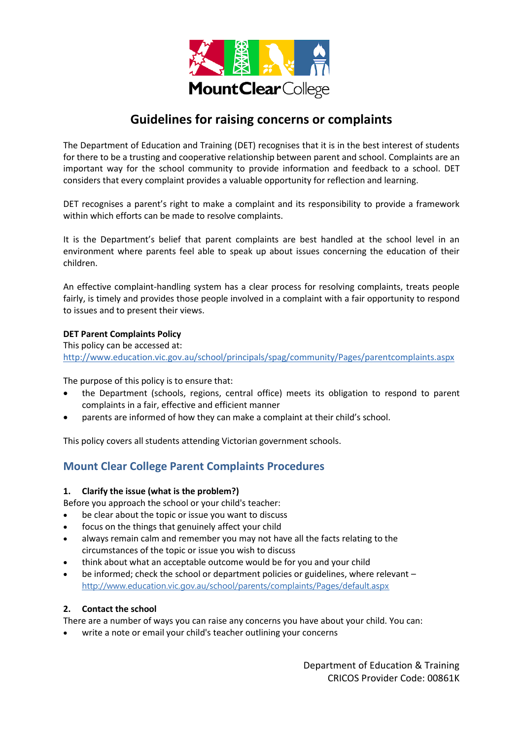

# **Guidelines for raising concerns or complaints**

The Department of Education and Training (DET) recognises that it is in the best interest of students for there to be a trusting and cooperative relationship between parent and school. Complaints are an important way for the school community to provide information and feedback to a school. DET considers that every complaint provides a valuable opportunity for reflection and learning.

DET recognises a parent's right to make a complaint and its responsibility to provide a framework within which efforts can be made to resolve complaints.

It is the Department's belief that parent complaints are best handled at the school level in an environment where parents feel able to speak up about issues concerning the education of their children.

An effective complaint-handling system has a clear process for resolving complaints, treats people fairly, is timely and provides those people involved in a complaint with a fair opportunity to respond to issues and to present their views.

#### **DET Parent Complaints Policy**

This policy can be accessed at: <http://www.education.vic.gov.au/school/principals/spag/community/Pages/parentcomplaints.aspx>

The purpose of this policy is to ensure that:

- the Department (schools, regions, central office) meets its obligation to respond to parent complaints in a fair, effective and efficient manner
- parents are informed of how they can make a complaint at their child's school.

This policy covers all students attending Victorian government schools.

# **Mount Clear College Parent Complaints Procedures**

#### **1. Clarify the issue (what is the problem?)**

Before you approach the school or your child's teacher:

- be clear about the topic or issue you want to discuss
- focus on the things that genuinely affect your child
- always remain calm and remember you may not have all the facts relating to the circumstances of the topic or issue you wish to discuss
- think about what an acceptable outcome would be for you and your child
- be informed; check the school or department policies or guidelines, where relevant <http://www.education.vic.gov.au/school/parents/complaints/Pages/default.aspx>

## **2. Contact the school**

There are a number of ways you can raise any concerns you have about your child. You can:

write a note or email your child's teacher outlining your concerns

Department of Education & Training CRICOS Provider Code: 00861K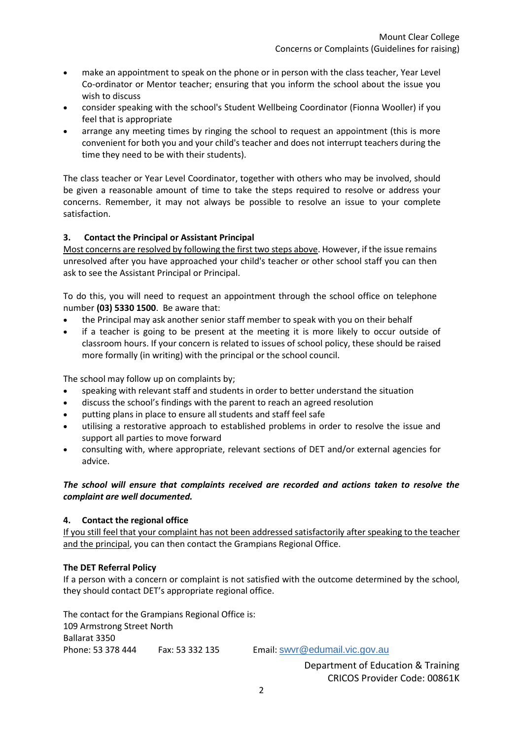- make an appointment to speak on the phone or in person with the class teacher, Year Level Co-ordinator or Mentor teacher; ensuring that you inform the school about the issue you wish to discuss
- consider speaking with the school's Student Wellbeing Coordinator (Fionna Wooller) if you feel that is appropriate
- arrange any meeting times by ringing the school to request an appointment (this is more convenient for both you and your child's teacher and does not interrupt teachers during the time they need to be with their students).

The class teacher or Year Level Coordinator, together with others who may be involved, should be given a reasonable amount of time to take the steps required to resolve or address your concerns. Remember, it may not always be possible to resolve an issue to your complete satisfaction.

# **3. Contact the Principal or Assistant Principal**

Most concerns are resolved by following the first two steps above. However, if the issue remains unresolved after you have approached your child's teacher or other school staff you can then ask to see the Assistant Principal or Principal.

To do this, you will need to request an appointment through the school office on telephone number **(03) 5330 1500**. Be aware that:

- the Principal may ask another senior staff member to speak with you on their behalf
- if a teacher is going to be present at the meeting it is more likely to occur outside of classroom hours. If your concern is related to issues of school policy, these should be raised more formally (in writing) with the principal or the school council.

The school may follow up on complaints by;

- speaking with relevant staff and students in order to better understand the situation
- discuss the school's findings with the parent to reach an agreed resolution
- putting plans in place to ensure all students and staff feel safe
- utilising a restorative approach to established problems in order to resolve the issue and support all parties to move forward
- consulting with, where appropriate, relevant sections of DET and/or external agencies for advice.

## *The school will ensure that complaints received are recorded and actions taken to resolve the complaint are well documented.*

## **4. Contact the regional office**

If you still feel that your complaint has not been addressed satisfactorily after speaking to the teacher and the principal, you can then contact the Grampians Regional Office.

## **The DET Referral Policy**

If a person with a concern or complaint is not satisfied with the outcome determined by the school, they should contact DET's appropriate regional office.

The contact for the Grampians Regional Office is: 109 Armstrong Street North Ballarat 3350 Phone: 53 378 444 Fax: 53 332 135 Email: [swvr@edumail.vic.gov.au](mailto:swvr@edumail.vic.gov.au)

Department of Education & Training CRICOS Provider Code: 00861K